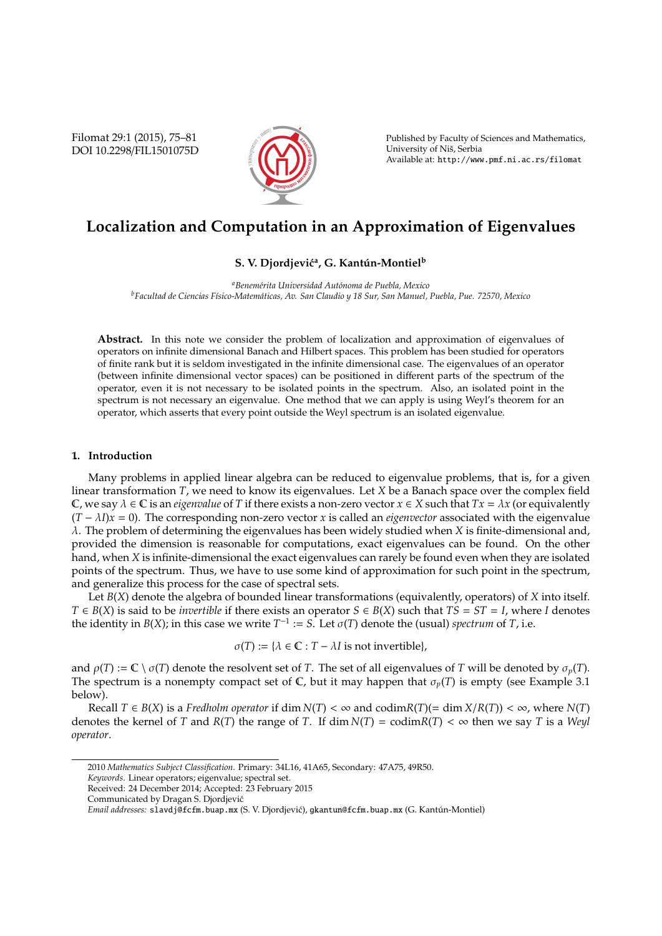Filomat 29:1 (2015), 75–81 DOI 10.2298/FIL1501075D



Published by Faculty of Sciences and Mathematics, University of Niš, Serbia Available at: http://www.pmf.ni.ac.rs/filomat

# **Localization and Computation in an Approximation of Eigenvalues**

# $\mathbf S$ . V. Djordjević<sup>a</sup>, G. Kantún-Montiel<sup>b</sup>

*<sup>a</sup>Benem´erita Universidad Aut´onoma de Puebla, Mexico <sup>b</sup>Facultad de Ciencias F´ısico-Matem´aticas, Av. San Claudio y 18 Sur, San Manuel, Puebla, Pue. 72570, Mexico*

**Abstract.** In this note we consider the problem of localization and approximation of eigenvalues of operators on infinite dimensional Banach and Hilbert spaces. This problem has been studied for operators of finite rank but it is seldom investigated in the infinite dimensional case. The eigenvalues of an operator (between infinite dimensional vector spaces) can be positioned in different parts of the spectrum of the operator, even it is not necessary to be isolated points in the spectrum. Also, an isolated point in the spectrum is not necessary an eigenvalue. One method that we can apply is using Weyl's theorem for an operator, which asserts that every point outside the Weyl spectrum is an isolated eigenvalue.

# **1.. Introduction**

Many problems in applied linear algebra can be reduced to eigenvalue problems, that is, for a given linear transformation *T*, we need to know its eigenvalues. Let *X* be a Banach space over the complex field C, we say  $\lambda \in \mathbb{C}$  is an *eigenvalue* of *T* if there exists a non-zero vector  $x \in X$  such that  $Tx = \lambda x$  (or equivalently  $(T - \lambda I)x = 0$ ). The corresponding non-zero vector *x* is called an *eigenvector* associated with the eigenvalue λ. The problem of determining the eigenvalues has been widely studied when *X* is finite-dimensional and, provided the dimension is reasonable for computations, exact eigenvalues can be found. On the other hand, when *X* is infinite-dimensional the exact eigenvalues can rarely be found even when they are isolated points of the spectrum. Thus, we have to use some kind of approximation for such point in the spectrum, and generalize this process for the case of spectral sets.

Let *B*(*X*) denote the algebra of bounded linear transformations (equivalently, operators) of *X* into itself. *T* ∈ *B*(*X*) is said to be *invertible* if there exists an operator *S* ∈ *B*(*X*) such that *TS* = *ST* = *I*, where *I* denotes the identity in *B*(*X*); in this case we write  $T^{-1} := S$ . Let  $\sigma(T)$  denote the (usual) *spectrum* of *T*, i.e.

 $\sigma(T) := {\lambda \in \mathbb{C} : T - \lambda I \text{ is not invertible}}$ ,

and  $\rho(T) := \mathbb{C} \setminus \sigma(T)$  denote the resolvent set of *T*. The set of all eigenvalues of *T* will be denoted by  $\sigma_p(T)$ . The spectrum is a nonempty compact set of C, but it may happen that  $\sigma_p(T)$  is empty (see Example 3.1) below).

Recall  $T \in B(X)$  is a *Fredholm operator* if dim  $N(T) < \infty$  and codim $R(T)$ (= dim  $X/R(T)$ ) <  $\infty$ , where  $N(T)$ denotes the kernel of *T* and *R*(*T*) the range of *T*. If dim  $N(T) = \text{codim}R(T) < \infty$  then we say *T* is a *Weyl operator*.

<sup>2010</sup> *Mathematics Subject Classification*. Primary: 34L16, 41A65, Secondary: 47A75, 49R50.

*Keywords*. Linear operators; eigenvalue; spectral set.

Received: 24 December 2014; Accepted: 23 February 2015

Communicated by Dragan S. Djordjevic´

*Email addresses:* slavdj@fcfm.buap.mx (S. V. Djordjević), gkantun@fcfm.buap.mx (G. Kantún-Montiel)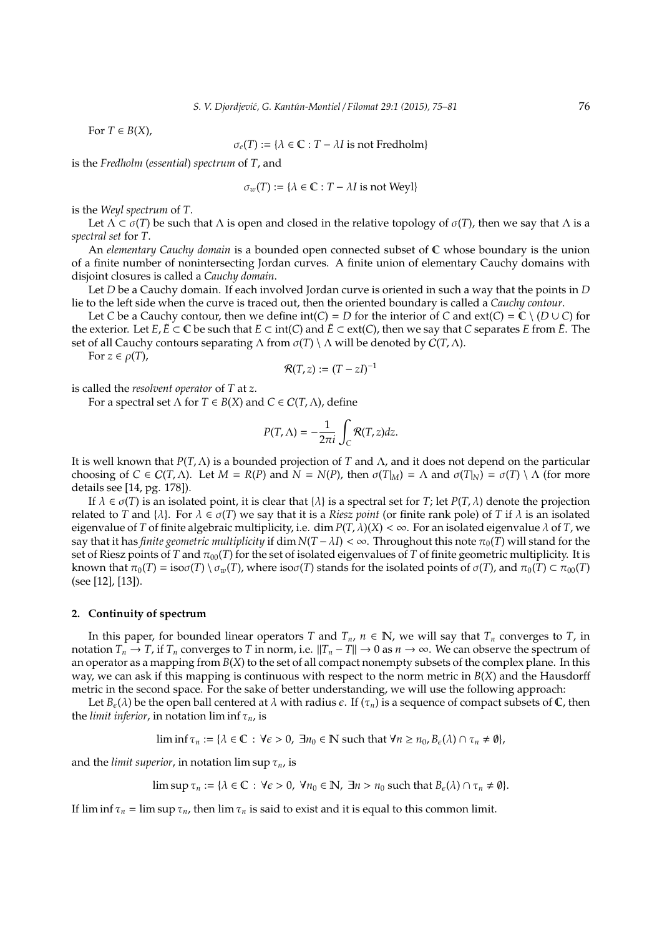For  $T \in B(X)$ ,

$$
\sigma_e(T) := \{ \lambda \in \mathbb{C} : T - \lambda I \text{ is not Fredholm} \}
$$

is the *Fredholm* (*essential*) *spectrum* of *T*, and

$$
\sigma_w(T) := \{ \lambda \in \mathbb{C} : T - \lambda I \text{ is not Weyl} \}
$$

is the *Weyl spectrum* of *T*.

Let  $\Lambda \subset \sigma(T)$  be such that  $\Lambda$  is open and closed in the relative topology of  $\sigma(T)$ , then we say that  $\Lambda$  is a *spectral set* for *T*.

An *elementary Cauchy domain* is a bounded open connected subset of C whose boundary is the union of a finite number of nonintersecting Jordan curves. A finite union of elementary Cauchy domains with disjoint closures is called a *Cauchy domain*.

Let *D* be a Cauchy domain. If each involved Jordan curve is oriented in such a way that the points in *D* lie to the left side when the curve is traced out, then the oriented boundary is called a *Cauchy contour*.

Let *C* be a Cauchy contour, then we define  $int(C) = D$  for the interior of *C* and  $ext(C) = C \setminus (D \cup C)$  for the exterior. Let *E*,  $\tilde{E}$  ⊂ C be such that  $E$  ⊂ int(*C*) and  $\tilde{E}$  ⊂ ext(*C*), then we say that *C* separates *E* from  $\tilde{E}$ . The set of all Cauchy contours separating  $\Lambda$  from  $\sigma(T) \setminus \Lambda$  will be denoted by  $C(T, \Lambda)$ .

For  $z \in \rho(T)$ ,

$$
\mathcal{R}(T,z):=(T-zI)^{-1}
$$

is called the *resolvent operator* of *T* at *z*.

For a spectral set  $\Lambda$  for  $T \in B(X)$  and  $C \in C(T, \Lambda)$ , define

$$
P(T,\Lambda)=-\frac{1}{2\pi i}\int_C \mathcal{R}(T,z)dz.
$$

It is well known that *P*(*T*, Λ) is a bounded projection of *T* and Λ, and it does not depend on the particular choosing of  $C \in C(T, \Lambda)$ . Let  $M = R(P)$  and  $N = N(P)$ , then  $\sigma(T_M) = \Lambda$  and  $\sigma(T_N) = \sigma(T) \setminus \Lambda$  (for more details see [14, pg. 178]).

If  $\lambda \in \sigma(T)$  is an isolated point, it is clear that  $\{\lambda\}$  is a spectral set for *T*; let  $P(T, \lambda)$  denote the projection related to *T* and  $\{\lambda\}$ . For  $\lambda \in \sigma(T)$  we say that it is a *Riesz point* (or finite rank pole) of *T* if  $\lambda$  is an isolated eigenvalue of *T* of finite algebraic multiplicity, i.e. dim  $P(T, \lambda)(X) < \infty$ . For an isolated eigenvalue  $\lambda$  of *T*, we say that it has *finite geometric multiplicity* if  $\dim N(T - \lambda I) < \infty$ . Throughout this note  $\pi_0(T)$  will stand for the set of Riesz points of *T* and  $\pi_{00}(T)$  for the set of isolated eigenvalues of *T* of finite geometric multiplicity. It is known that  $\pi_0(T) = \text{iso}\sigma(T) \setminus \sigma_w(T)$ , where  $\text{iso}\sigma(T)$  stands for the isolated points of  $\sigma(T)$ , and  $\pi_0(T) \subset \pi_{00}(T)$ (see [12], [13]).

## **2.. Continuity of spectrum**

In this paper, for bounded linear operators *T* and  $T_n$ ,  $n \in \mathbb{N}$ , we will say that  $T_n$  converges to *T*, in notation  $T_n \to T$ , if  $T_n$  converges to *T* in norm, i.e.  $||T_n - T|| \to 0$  as  $n \to \infty$ . We can observe the spectrum of an operator as a mapping from *B*(*X*) to the set of all compact nonempty subsets of the complex plane. In this way, we can ask if this mapping is continuous with respect to the norm metric in *B*(*X*) and the Hausdorff metric in the second space. For the sake of better understanding, we will use the following approach:

Let  $B_{\epsilon}(\lambda)$  be the open ball centered at  $\lambda$  with radius  $\epsilon$ . If  $(\tau_n)$  is a sequence of compact subsets of C, then the *limit inferior*, in notation lim inf  $\tau_n$ , is

lim inf  $\tau_n := {\lambda \in \mathbb{C} : \forall \epsilon > 0, \exists n_0 \in \mathbb{N} \text{ such that } \forall n \geq n_0, B_{\epsilon}(\lambda) \cap \tau_n \neq \emptyset},$ 

and the *limit superior*, in notation  $\limsup \tau_n$ , is

 $\limsup \tau_n := {\lambda \in \mathbb{C} : \forall \epsilon > 0, \forall n_0 \in \mathbb{N}, \exists n > n_0 \text{ such that } B_{\epsilon}(\lambda) \cap \tau_n \neq \emptyset}.$ 

If  $\liminf \tau_n = \limsup \tau_n$ , then  $\lim \tau_n$  is said to exist and it is equal to this common limit.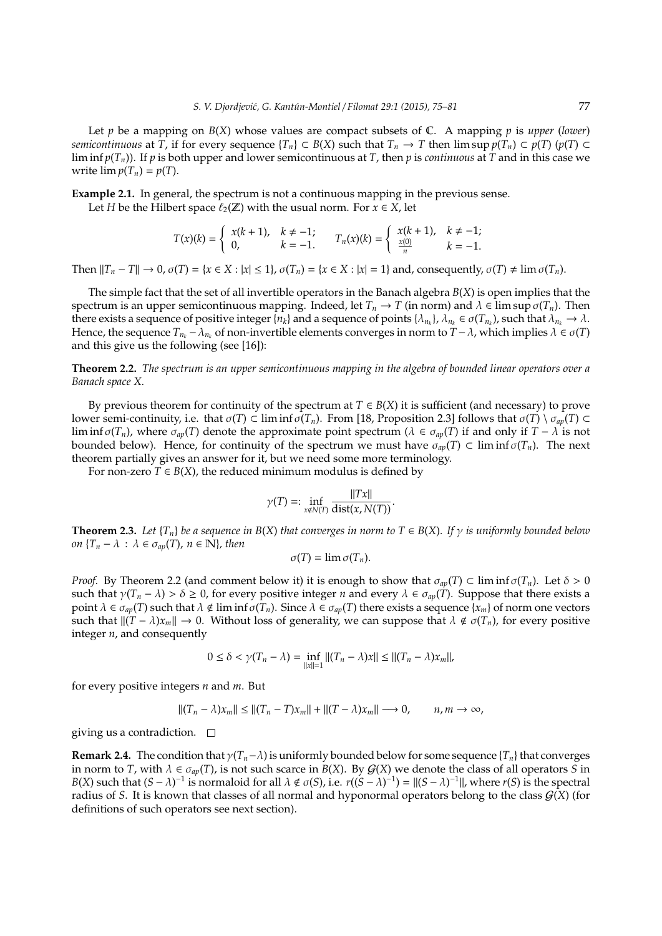Let *p* be a mapping on *B*(*X*) whose values are compact subsets of C. A mapping *p* is *upper* (*lower*) *semicontinuous* at *T*, if for every sequence  $\{T_n\} \subset B(X)$  such that  $T_n \to T$  then  $\limsup p(T_n) \subset p(T)$  ( $p(T) \subset T$ ) lim inf  $p(T_n)$ ). If p is both upper and lower semicontinuous at *T*, then p is *continuous* at *T* and in this case we write  $\lim p(T_n) = p(T)$ .

**Example 2.1.** In general, the spectrum is not a continuous mapping in the previous sense.

Let *H* be the Hilbert space  $\ell_2(\mathbb{Z})$  with the usual norm. For  $x \in X$ , let

$$
T(x)(k) = \begin{cases} x(k+1), & k \neq -1; \\ 0, & k = -1. \end{cases} \qquad T_n(x)(k) = \begin{cases} x(k+1), & k \neq -1; \\ \frac{x(0)}{n}, & k = -1. \end{cases}
$$

Then  $||T_n - T|| \to 0$ ,  $\sigma(T) = \{x \in X : |x| \le 1\}$ ,  $\sigma(T_n) = \{x \in X : |x| = 1\}$  and, consequently,  $\sigma(T) \ne \lim \sigma(T_n)$ .

The simple fact that the set of all invertible operators in the Banach algebra *B*(*X*) is open implies that the spectrum is an upper semicontinuous mapping. Indeed, let  $T_n \to T$  (in norm) and  $\lambda \in \limsup \sigma(T_n)$ . Then there exists a sequence of positive integer  $\{n_k\}$  and a sequence of points  $\{\lambda_{n_k}\}$ ,  $\lambda_{n_k} \in \sigma(T_{n_k})$ , such that  $\lambda_{n_k} \to \lambda$ . Hence, the sequence  $T_{n_k} - \lambda_{n_k}$  of non-invertible elements converges in norm to  $T - \lambda$ , which implies  $\lambda \in \sigma(T)$ and this give us the following (see [16]):

**Theorem 2.2.** *The spectrum is an upper semicontinuous mapping in the algebra of bounded linear operators over a Banach space X.*

By previous theorem for continuity of the spectrum at  $T \in B(X)$  it is sufficient (and necessary) to prove lower semi-continuity, i.e. that  $σ(T) ⊂ \liminf σ(T_n)$ . From [18, Proposition 2.3] follows that  $σ(T) \setminus σ_{ap}(T) ⊂$ lim inf  $\sigma(T_n)$ , where  $\sigma_{ap}(T)$  denote the approximate point spectrum ( $\lambda \in \sigma_{ap}(T)$  if and only if  $T - \lambda$  is not bounded below). Hence, for continuity of the spectrum we must have  $\sigma_{an}(T) \subset \liminf \sigma(T_n)$ . The next theorem partially gives an answer for it, but we need some more terminology.

For non-zero  $T \in B(X)$ , the reduced minimum modulus is defined by

$$
\gamma(T) =: \inf_{x \notin N(T)} \frac{\|Tx\|}{\text{dist}(x, N(T))}.
$$

**Theorem 2.3.** Let  $\{T_n\}$  be a sequence in  $B(X)$  that converges in norm to  $T \in B(X)$ . If  $\gamma$  is uniformly bounded below *on*  ${T_n - \lambda : \lambda \in \sigma_{av}(T), n \in \mathbb{N}}$ *, then* 

$$
\sigma(T)=\lim \sigma(T_n).
$$

*Proof.* By Theorem 2.2 (and comment below it) it is enough to show that  $\sigma_{ap}(T) \subset \liminf \sigma(T_n)$ . Let  $\delta > 0$ such that  $\gamma(T_n - \lambda) > \delta \geq 0$ , for every positive integer *n* and every  $\lambda \in \sigma_{ap}(T)$ . Suppose that there exists a point  $\lambda \in \sigma_{ap}(T)$  such that  $\lambda \notin \text{lim inf }\sigma(T_n)$ . Since  $\lambda \in \sigma_{ap}(T)$  there exists a sequence  $\{x_m\}$  of norm one vectors such that  $||(T - \lambda)x_m|| \to 0$ . Without loss of generality, we can suppose that  $\lambda \notin \sigma(T_n)$ , for every positive integer *n*, and consequently

$$
0 \leq \delta < \gamma(T_n - \lambda) = \inf_{\|x\|=1} \|(T_n - \lambda)x\| \leq \|(T_n - \lambda)x_m\|,
$$

for every positive integers *n* and *m*. But

$$
||(T_n - \lambda)x_m|| \le ||(T_n - T)x_m|| + ||(T - \lambda)x_m|| \longrightarrow 0, \qquad n, m \to \infty,
$$

giving us a contradiction.  $\square$ 

**Remark 2.4.** The condition that  $\gamma(T_n-\lambda)$  is uniformly bounded below for some sequence { $T_n$ } that converges in norm to *T*, with  $\lambda \in \sigma_{ap}(T)$ , is not such scarce in *B*(*X*). By *G*(*X*) we denote the class of all operators *S* in *B*(*X*) such that  $(S - \lambda)^{-1}$  is normaloid for all  $\lambda \notin \sigma(S)$ , i.e.  $r((S - \lambda)^{-1}) = ||(S - \lambda)^{-1}||$ , where  $r(S)$  is the spectral radius of *S*. It is known that classes of all normal and hyponormal operators belong to the class G(*X*) (for definitions of such operators see next section).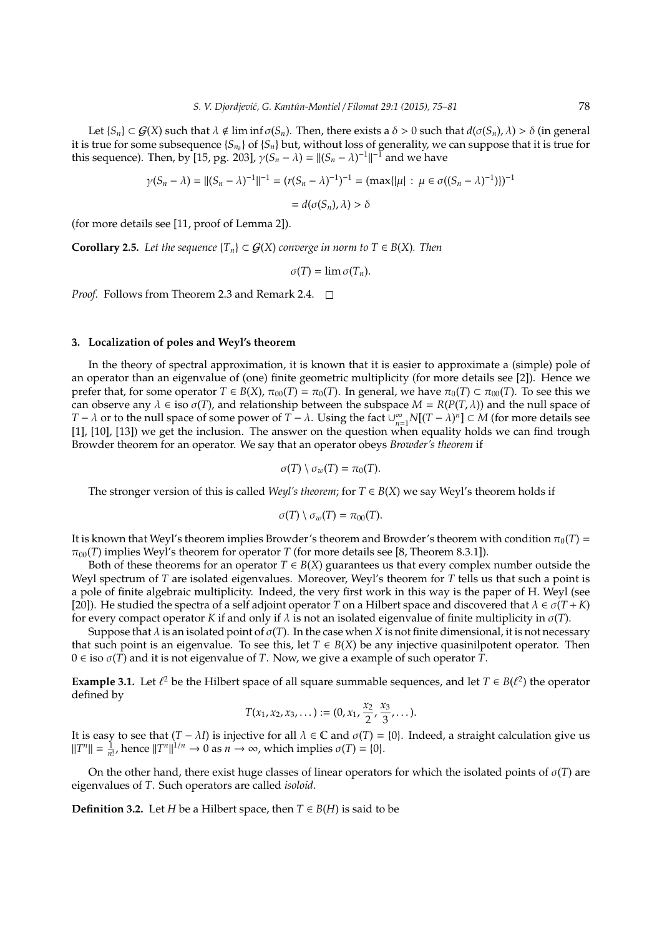Let  $\{S_n\} \subset G(X)$  such that  $\lambda \notin \liminf \sigma(S_n)$ . Then, there exists a  $\delta > 0$  such that  $d(\sigma(S_n), \lambda) > \delta$  (in general it is true for some subsequence {*S<sup>n</sup><sup>k</sup>* } of {*Sn*} but, without loss of generality, we can suppose that it is true for this sequence). Then, by [15, pg. 203],  $\gamma(S_n - \lambda) = ||(S_n - \lambda)^{-1}||^{-1}$  and we have

$$
\gamma(S_n - \lambda) = ||(S_n - \lambda)^{-1}||^{-1} = (r(S_n - \lambda)^{-1})^{-1} = (\max{||\mu| : \mu \in \sigma((S_n - \lambda)^{-1})\})^{-1}
$$

$$
= d(\sigma(S_n), \lambda) > \delta
$$

(for more details see [11, proof of Lemma 2]).

**Corollary 2.5.** *Let the sequence*  ${T_n}$  ⊂  $G(X)$  *converge in norm to*  $T ∈ B(X)$ *. Then* 

 $\sigma(T) = \lim \sigma(T_n)$ .

*Proof.* Follows from Theorem 2.3 and Remark 2.4. □

# **3.. Localization of poles and Weyl's theorem**

In the theory of spectral approximation, it is known that it is easier to approximate a (simple) pole of an operator than an eigenvalue of (one) finite geometric multiplicity (for more details see [2]). Hence we prefer that, for some operator  $T \in B(X)$ ,  $\pi_{00}(T) = \pi_0(T)$ . In general, we have  $\pi_0(T) \subset \pi_{00}(T)$ . To see this we can observe any  $\lambda \in \text{iso } \sigma(T)$ , and relationship between the subspace  $M = R(P(T, \lambda))$  and the null space of *T* −  $\lambda$  or to the null space of some power of  $T - \lambda$ . Using the fact  $\bigcup_{n=1}^{\infty} N[(T - \lambda)^n] \subset M$  (for more details see [1], [10], [13]) we get the inclusion. The answer on the question when equality holds we can find trough Browder theorem for an operator. We say that an operator obeys *Browder's theorem* if

$$
\sigma(T) \setminus \sigma_w(T) = \pi_0(T).
$$

The stronger version of this is called *Weyl's theorem*; for  $T \in B(X)$  we say Weyl's theorem holds if

$$
\sigma(T) \setminus \sigma_w(T) = \pi_{00}(T).
$$

It is known that Weyl's theorem implies Browder's theorem and Browder's theorem with condition  $\pi_0(T)$  =  $\pi_{00}(T)$  implies Weyl's theorem for operator *T* (for more details see [8, Theorem 8.3.1]).

Both of these theorems for an operator  $T \in B(X)$  guarantees us that every complex number outside the Weyl spectrum of *T* are isolated eigenvalues. Moreover, Weyl's theorem for *T* tells us that such a point is a pole of finite algebraic multiplicity. Indeed, the very first work in this way is the paper of H. Weyl (see [20]). He studied the spectra of a self adjoint operator *T* on a Hilbert space and discovered that  $\lambda \in \sigma(T + K)$ for every compact operator *K* if and only if  $\lambda$  is not an isolated eigenvalue of finite multiplicity in  $\sigma(T)$ .

Suppose that  $\lambda$  is an isolated point of  $\sigma(T)$ . In the case when X is not finite dimensional, it is not necessary that such point is an eigenvalue. To see this, let  $T \in B(X)$  be any injective quasinilpotent operator. Then 0 ∈ iso σ(*T*) and it is not eigenvalue of *T*. Now, we give a example of such operator *T*.

**Example 3.1.** Let  $\ell^2$  be the Hilbert space of all square summable sequences, and let  $T \in B(\ell^2)$  the operator defined by

$$
T(x_1,x_2,x_3,\dots):=(0,x_1,\frac{x_2}{2},\frac{x_3}{3},\dots).
$$

It is easy to see that  $(T - \lambda I)$  is injective for all  $\lambda \in \mathbb{C}$  and  $\sigma(T) = \{0\}$ . Indeed, a straight calculation give us  $||T^n|| = \frac{1}{n!}$ , hence  $||T^n||^{1/n} \to 0$  as  $n \to \infty$ , which implies  $\sigma(T) = \{0\}.$ 

On the other hand, there exist huge classes of linear operators for which the isolated points of  $\sigma(T)$  are eigenvalues of *T*. Such operators are called *isoloid*.

**Definition 3.2.** Let *H* be a Hilbert space, then  $T \in B(H)$  is said to be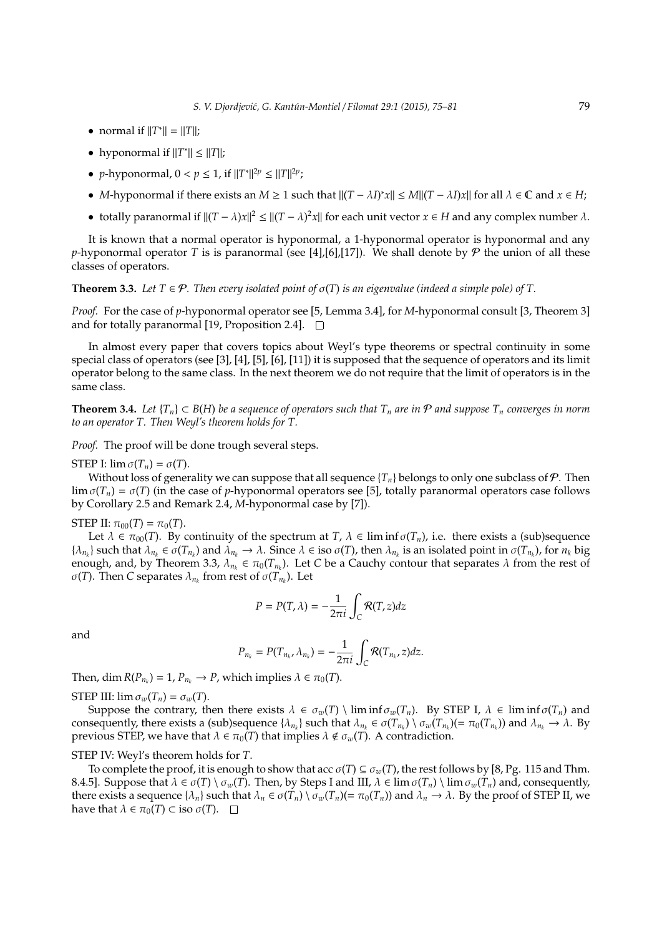- normal if  $||T^*|| = ||T||;$
- hyponormal if  $||T^*|| \le ||T||$ ;
- *p*-hyponormal,  $0 < p \le 1$ , if  $||T^*||^{2p} \le ||T||^{2p}$ ;
- *M*-hyponormal if there exists an  $M \ge 1$  such that  $||(T \lambda I)^*x|| \le M||(T \lambda I)x||$  for all  $\lambda \in \mathbb{C}$  and  $x \in H$ ;
- totally paranormal if  $||(T \lambda)x||^2 \le ||(T \lambda)^2x||$  for each unit vector  $x \in H$  and any complex number  $\lambda$ .

It is known that a normal operator is hyponormal, a 1-hyponormal operator is hyponormal and any *p*-hyponormal operator *T* is is paranormal (see [4], [6], [17]). We shall denote by  $P$  the union of all these classes of operators.

### **Theorem 3.3.** *Let*  $T \in \mathcal{P}$ *. Then every isolated point of*  $\sigma(T)$  *is an eigenvalue (indeed a simple pole) of*  $T$ *.*

*Proof.* For the case of *p*-hyponormal operator see [5, Lemma 3.4], for *M*-hyponormal consult [3, Theorem 3] and for totally paranormal [19, Proposition 2.4].  $\square$ 

In almost every paper that covers topics about Weyl's type theorems or spectral continuity in some special class of operators (see [3], [4], [5], [6], [11]) it is supposed that the sequence of operators and its limit operator belong to the same class. In the next theorem we do not require that the limit of operators is in the same class.

**Theorem 3.4.** *Let*  $\{T_n\} \subset B(H)$  *be a sequence of operators such that*  $T_n$  *are in*  $P$  *and suppose*  $T_n$  *converges in norm to an operator T. Then Weyl's theorem holds for T.*

*Proof.* The proof will be done trough several steps.

STEP I:  $\lim \sigma(T_n) = \sigma(T)$ .

Without loss of generality we can suppose that all sequence  $\{T_n\}$  belongs to only one subclass of  $P$ . Then  $\lim \sigma(T_n) = \sigma(T)$  (in the case of *p*-hyponormal operators see [5], totally paranormal operators case follows by Corollary 2.5 and Remark 2.4, *M*-hyponormal case by [7]).

STEP II:  $\pi_{00}(T) = \pi_0(T)$ .

Let  $\lambda \in \pi_{00}(T)$ . By continuity of the spectrum at *T*,  $\lambda \in \liminf \sigma(T_n)$ , i.e. there exists a (sub)sequence  $\{\lambda_{n_k}\}\$  such that  $\lambda_{n_k}\in \sigma(T_{n_k})$  and  $\lambda_{n_k}\to \lambda$ . Since  $\lambda\in \text{iso }\sigma(T)$ , then  $\lambda_{n_k}$  is an isolated point in  $\sigma(T_{n_k})$ , for  $n_k$  big enough, and, by Theorem 3.3,  $\lambda_{n_k} \in \pi_0(T_{n_k})$ . Let *C* be a Cauchy contour that separates  $\lambda$  from the rest of σ(*T*). Then *C* separates λ*n<sup>k</sup>* from rest of σ(*Tn<sup>k</sup>* ). Let

$$
P = P(T, \lambda) = -\frac{1}{2\pi i} \int_C \mathcal{R}(T, z) dz
$$

and

$$
P_{n_k}=P(T_{n_k},\lambda_{n_k})=-\frac{1}{2\pi i}\int_C \mathcal{R}(T_{n_k},z)dz.
$$

Then, dim  $R(P_{n_k}) = 1$ ,  $P_{n_k} \to P$ , which implies  $\lambda \in \pi_0(T)$ .

STEP III:  $\lim \sigma_w(T_n) = \sigma_w(T)$ .

Suppose the contrary, then there exists  $\lambda \in \sigma_w(T) \setminus \liminf \sigma_w(T_n)$ . By STEP I,  $\lambda \in \liminf \sigma(T_n)$  and consequently, there exists a (sub)sequence  $\{\lambda_{n_k}\}$  such that  $\lambda_{n_k} \in \sigma(T_{n_k}) \setminus \sigma_w(T_{n_k})(=\pi_0(T_{n_k}))$  and  $\lambda_{n_k} \to \lambda$ . By previous STEP, we have that  $\lambda \in \pi_0(T)$  that implies  $\lambda \notin \sigma_w(T)$ . A contradiction.

#### STEP IV: Weyl's theorem holds for *T*.

To complete the proof, it is enough to show that acc  $\sigma(T) \subseteq \sigma_w(T)$ , the rest follows by [8, Pg. 115 and Thm. 8.4.5]. Suppose that  $\lambda \in \sigma(T) \setminus \sigma_w(T)$ . Then, by Steps I and III,  $\lambda \in \lim \sigma(T_n) \setminus \lim \sigma_w(T_n)$  and, consequently, there exists a sequence  $\{\lambda_n\}$  such that  $\lambda_n \in \sigma(T_n) \setminus \sigma_w(T_n) (= \pi_0(T_n))$  and  $\lambda_n \to \lambda$ . By the proof of STEP II, we have that  $\lambda \in \pi_0(T) \subset \text{iso } \sigma(T)$ .  $\square$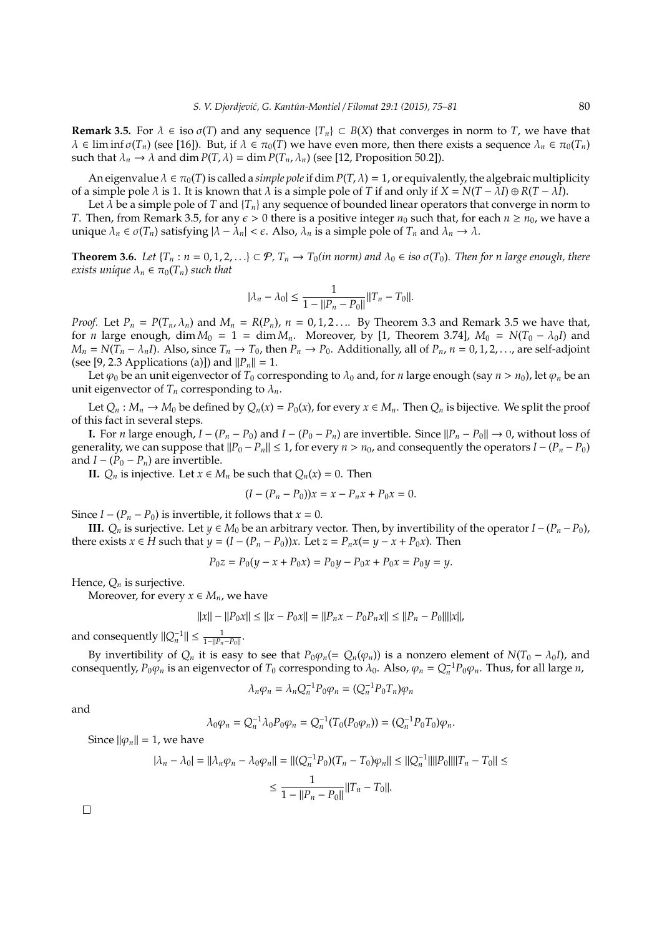**Remark 3.5.** For  $\lambda \in \text{iso } \sigma(T)$  and any sequence  $\{T_n\} \subset B(X)$  that converges in norm to *T*, we have that  $\lambda \in \text{lim inf } \sigma(T_n)$  (see [16]). But, if  $\lambda \in \pi_0(T)$  we have even more, then there exists a sequence  $\lambda_n \in \pi_0(T_n)$ such that  $\lambda_n \to \lambda$  and dim  $P(T, \lambda) = \dim P(T_n, \lambda_n)$  (see [12, Proposition 50.2]).

An eigenvalue  $\lambda \in \pi_0(T)$  is called a *simple pole* if dim  $P(T, \lambda) = 1$ , or equivalently, the algebraic multiplicity of a simple pole  $\lambda$  is 1. It is known that  $\lambda$  is a simple pole of *T* if and only if  $X = N(T - \lambda I) \oplus R(T - \lambda I)$ .

Let  $\lambda$  be a simple pole of *T* and  $\{T_n\}$  any sequence of bounded linear operators that converge in norm to *T*. Then, from Remark 3.5, for any  $\epsilon > 0$  there is a positive integer  $n_0$  such that, for each  $n \geq n_0$ , we have a unique  $\lambda_n \in \sigma(T_n)$  satisfying  $|\lambda - \lambda_n| < \epsilon$ . Also,  $\lambda_n$  is a simple pole of  $T_n$  and  $\lambda_n \to \lambda$ .

**Theorem 3.6.** *Let*  $\{T_n : n = 0, 1, 2, ...\} \subset \mathcal{P}$ ,  $T_n \to T_0(in \text{ norm})$  and  $\lambda_0 \in \text{iso } \sigma(T_0)$ . *Then for n large enough, there exists unique*  $\lambda_n \in \pi_0(T_n)$  *such that* 

$$
|\lambda_n - \lambda_0| \le \frac{1}{1 - ||P_n - P_0||} ||T_n - T_0||.
$$

*Proof.* Let  $P_n = P(T_n, \lambda_n)$  and  $M_n = R(P_n)$ ,  $n = 0, 1, 2, \ldots$  By Theorem 3.3 and Remark 3.5 we have that, for *n* large enough, dim  $M_0 = 1 = \dim M_n$ . Moreover, by [1, Theorem 3.74],  $M_0 = N(T_0 - \lambda_0 I)$  and  $M_n = N(T_n - \lambda_n I)$ . Also, since  $T_n \to T_0$ , then  $P_n \to P_0$ . Additionally, all of  $P_n$ ,  $n = 0, 1, 2, \dots$ , are self-adjoint (see [9, 2.3 Applications (a)]) and  $||P_n|| = 1$ .

Let  $\varphi_0$  be an unit eigenvector of  $T_0$  corresponding to  $\lambda_0$  and, for *n* large enough (say  $n > n_0$ ), let  $\varphi_n$  be an unit eigenvector of  $T_n$  corresponding to  $\lambda_n$ .

Let  $Q_n$ :  $M_n \to M_0$  be defined by  $Q_n(x) = P_0(x)$ , for every  $x \in M_n$ . Then  $Q_n$  is bijective. We split the proof of this fact in several steps.

**I.** For *n* large enough, *I* − ( $P_n$  −  $P_0$ ) and *I* − ( $P_0$  −  $P_n$ ) are invertible. Since  $||P_n - P_0|| \to 0$ , without loss of generality, we can suppose that  $||P_0 - P_n|| \leq 1$ , for every  $n > n_0$ , and consequently the operators  $I - (P_n - P_0)$ and  $I - (P_0 - P_n)$  are invertible.

**II.**  $Q_n$  is injective. Let *x* ∈ *M*<sup>*n*</sup> be such that  $Q_n(x) = 0$ . Then

$$
(I - (P_n - P_0))x = x - P_n x + P_0 x = 0.
$$

Since  $I - (P_n - P_0)$  is invertible, it follows that  $x = 0$ .

**III.**  $Q_n$  is surjective. Let  $y \in M_0$  be an arbitrary vector. Then, by invertibility of the operator *I* − ( $P_n$  −  $P_0$ ), there exists  $x \in H$  such that  $y = (I - (P_n - P_0))x$ . Let  $z = P_n x (= y - x + P_0 x)$ . Then

$$
P_0 z = P_0(y - x + P_0 x) = P_0 y - P_0 x + P_0 x = P_0 y = y.
$$

Hence,  $Q_n$  is surjective.

Moreover, for every  $x \in M_n$ , we have

$$
||x|| - ||P_0x|| \le ||x - P_0x|| = ||P_n x - P_0 P_n x|| \le ||P_n - P_0||||x||,
$$

and consequently  $||Q_n^{-1}|| \le \frac{1}{1-||P_n-P_0||}$ .

By invertibility of  $Q_n$  it is easy to see that  $P_0\varphi_n(=Q_n(\varphi_n))$  is a nonzero element of  $N(T_0 - \lambda_0 I)$ , and consequently,  $P_0\varphi_n$  is an eigenvector of  $T_0$  corresponding to  $\lambda_0$ . Also,  $\varphi_n = Q_n^{-1}P_0\varphi_n$ . Thus, for all large *n*,

$$
\lambda_n\varphi_n=\lambda_nQ_n^{-1}P_0\varphi_n=(Q_n^{-1}P_0T_n)\varphi_n
$$

and

$$
\lambda_0 \varphi_n = Q_n^{-1} \lambda_0 P_0 \varphi_n = Q_n^{-1} (T_0 (P_0 \varphi_n)) = (Q_n^{-1} P_0 T_0) \varphi_n.
$$

Since  $\|\varphi_n\| = 1$ , we have

$$
|\lambda_n - \lambda_0| = ||\lambda_n \varphi_n - \lambda_0 \varphi_n|| = ||(Q_n^{-1} P_0)(T_n - T_0)\varphi_n|| \le ||Q_n^{-1}||||P_0||||T_n - T_0|| \le
$$
  

$$
\le \frac{1}{1 - ||P_n - P_0||} ||T_n - T_0||.
$$